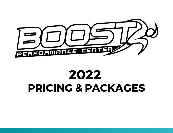

# **2022 PRICING & PACKAGES**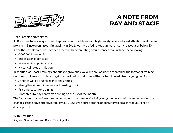

### **A NOTE FROM RAY AND STACIE**

Dear Parents and Athletes,

At Boost, we have always strived to provide youth athletes with high-quality, science-based athletic development programs. Since opening our first facility in 2016, we have tried to keep annual price increases at or below 3%. Over the past 3 years, we have been faced with extenuating circumstances that include the following:

- COVID-19 pandemic
- $\bullet$  Increases in labor costs
- Increases in supplier costs
- Historical rates of inflation

In addition, as Boost Training continues to grow and evolve we are looking to reorganize the format of training sessions to allow each athlete to get the most out of their time with coaches. Immediate changes going forward:

- Athletes will be organized into age groups
- Strength training will require onboarding to join
- Price increases for training
- Monthly auto-pay contracts debiting on the 1st of the month

The fact is we, as a business, are not immune to the times we're living in right now and will be implementing the changes listed above effective January 31, 2022. We appreciate the opportunity to be a part of your child's development.

With Gratitude, Ray and Stacie Bass, and Boost Training Staff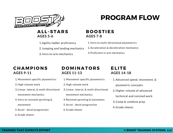

## **PROGRAM FLOW**

#### **AL L -STAR S AGES 5-6**

- Agility ladder proficiency 1.
- Jumping and landing mechanics 2.
- 3. Intro to arm mechanics

#### **B O O STIES AGES 7-8**

- 1. Intro to multi-directional plyometrics
- Acceleration & deceleration mechanics 2.
- 3. Proficient in arm mechanics

#### **CHAMPI O NS AGES 9-11**

- Movement specific plyometrics 1.
- 2. High volume work
- Linear, lateral, & multi-directional 3. movement mechanics
- 4. Intro to resisted sprinting & movement
- 
- 5. Accel decel progression
- Grade sheets 6.

#### **D OMINAT O R S AGES 11-13**

- Movement specific plyometrics 1. 2. High volume work Linear, lateral, & multi-directional 3. movement mechanics
- 4. Resisted sprinting & movement
- 5. Accel decel progression
- Grade sheets 6.

#### **EL ITE AGES 14-18**

- 1. Advanced speed, movement, &
	- plyometric concepts
- 2. Higher volume of advanced
	- technical and resisted work
- 3. Camp & combine prep
- Grade sheets 4.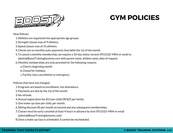



New Policies

- Athletes are organized into appropriate age groups. 1.
- 2. Strength classes max of 9 athletes.
- Speed classes max of 15 athletes. 3.
- Clients are on monthly auto-payments that debit the 1st of the month. 4.
- To cancel a monthly membership, we require a 10-day notice via text (951)532-4904 or email to 5. admin@BoostTrainingSystems.com with parent name, athlete name, date of request.
- Monthly memberships are only prorated for the following reasons: 6.
	- Client's beginning month a.
	- Closed for holidays b.
	- c. Facility class cancellation or emergency

Policies that have not changed:

- 1. Programs are based on enrollment, not attendance.
- 2. Payments are due by the 1st of the month.
- 3. No refunds.
- Annual registration fee \$15 per child OR \$25 per family. 4.
- 5. One make-up class per child, per month.
- Sibling discount \$5 per month on second and any subsequent memberships. 6.
- Classes must be early canceled at least 4 hours in advance by text (951)532-4904 or email 7. (admin@BoostTrainingSystems.com)
- 8. Once a make-up class is scheduled, it cannot be rescheduled.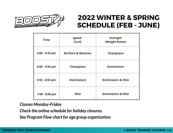

## **2022 WINTER & SPRING SCHEDULE (FEB - JUNE)**

| <b>Time</b>    | <b>Speed</b><br>(Turf)          | <b>Strength</b><br>(Weight-Room) |
|----------------|---------------------------------|----------------------------------|
| 4:00 - 4:45 pm | <b>All-Stars &amp; Boosties</b> | <b>Champions</b>                 |
| 4:50 - 5:50 pm | <b>Champions</b>                | <b>Dominators</b>                |
| 5:55 - 6:55 pm | <b>Dominators</b>               | <b>Dominators &amp; Elite</b>    |
| 7:00 - 8:00 pm | <b>Elite</b>                    | <b>Dominators &amp; Elite</b>    |

#### *Classes Monday-Friday*

*Check the online schedule for holiday closures.*

*See Program Flow chart for age group organization.*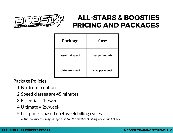

## **ALL-STARS & BOOSTIES PRICING AND PACKAGES**

| <b>Package</b>         | Cost            |
|------------------------|-----------------|
| <b>Essential Speed</b> | \$68 per month  |
| <b>Ultimate Speed</b>  | \$120 per month |

**Package Policies:**

- 1. No drop-in option
- **Speed classes are 45 minutes** 2.
- Essential = 1x/week 3.
- Ultimate = 2x/week 4.
- 5. List price is based on 4-week billing cycles.

*The monthly cost may change based on the number of billing weeks and holidays.* a.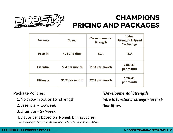

### **CHAMPIONS PRICING AND PACKAGES**

| <b>Package</b>   | <b>Speed</b>    | *Developmental<br><b>Strength</b> | <b>Value</b><br><b>Strength &amp; Speed</b><br><b>5% Savings</b> |
|------------------|-----------------|-----------------------------------|------------------------------------------------------------------|
| <b>Drop-in</b>   | \$24 one-time   | N/A                               | N/A                                                              |
| <b>Essential</b> | \$84 per month  | \$108 per month                   | \$182.40<br>per month                                            |
| <b>Ultimate</b>  | \$152 per month | \$200 per month                   | \$334.40<br>per month                                            |

#### **Package Policies:**

- 1. No drop-in option for strength
- Essential = 1x/week 2.
- Ultimate = 2x/week 3.
- 4. List price is based on 4-week billing cycles.

*The monthly cost may change based on the number of billing weeks and holidays.* a.

#### **\****Developmental Strength*

Intro to functional strength for first*time lifters.*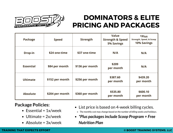

### **DOMINATORS & ELITE PRICING AND PACKAGES**

| <b>Package</b>   | <b>Speed</b>    | <b>Strength</b> | <b>Value</b><br><b>Strength &amp; Speed</b><br><b>5% Savings</b> | *Plus<br><b>Strength, Speed, &amp; Scoop</b><br><b>10% Savings</b> |
|------------------|-----------------|-----------------|------------------------------------------------------------------|--------------------------------------------------------------------|
| <b>Drop-in</b>   | \$24 one-time   | \$37 one-time   | N/A                                                              | N/A                                                                |
| <b>Essential</b> | \$84 per month  | \$136 per month | \$209<br>per month                                               | N/A                                                                |
| <b>Ultimate</b>  | \$152 per month | \$256 per month | \$387.60<br>per month                                            | \$439.20<br>per month                                              |
| <b>Absolute</b>  | \$204 per month | \$360 per month | \$535.80<br>per month                                            | \$600.10<br>per month                                              |

#### **Package Policies:**

- $\bullet$  Essential = 1x/week
- $\bullet$  Ultimate = 2x/week
- Absolute = 3x/week
- List price is based on 4-week billing cycles.
	- *The monthly cost may change based on the number of billing weeks and holidays.*
- *\*Plus packagesinclude Scoop Program + Free Nutrition Plan*